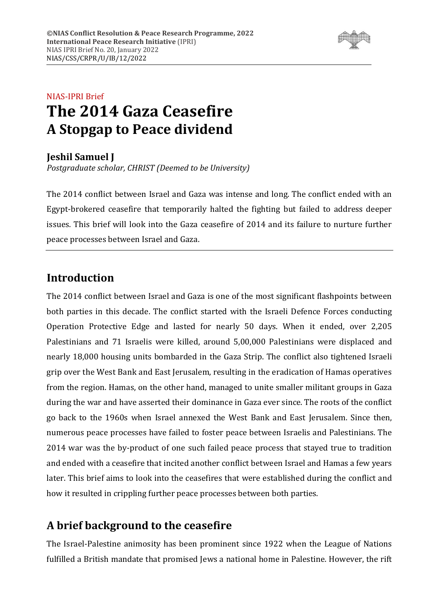

# NIAS-IPRI Brief **The 2014 Gaza Ceasefire A Stopgap to Peace dividend**

### **Jeshil Samuel J**

*Postgraduate scholar, CHRIST (Deemed to be University)*

The 2014 conflict between Israel and Gaza was intense and long. The conflict ended with an Egypt-brokered ceasefire that temporarily halted the fighting but failed to address deeper issues. This brief will look into the Gaza ceasefire of 2014 and its failure to nurture further peace processes between Israel and Gaza.

## **Introduction**

The 2014 conflict between Israel and Gaza is one of the most significant flashpoints between both parties in this decade. The conflict started with the Israeli Defence Forces conducting Operation Protective Edge and lasted for nearly 50 days. When it ended, over 2,205 Palestinians and 71 Israelis were killed, around 5,00,000 Palestinians were displaced and nearly 18,000 housing units bombarded in the Gaza Strip. The conflict also tightened Israeli grip over the West Bank and East Jerusalem, resulting in the eradication of Hamas operatives from the region. Hamas, on the other hand, managed to unite smaller militant groups in Gaza during the war and have asserted their dominance in Gaza ever since. The roots of the conflict go back to the 1960s when Israel annexed the West Bank and East Jerusalem. Since then, numerous peace processes have failed to foster peace between Israelis and Palestinians. The 2014 war was the by-product of one such failed peace process that stayed true to tradition and ended with a ceasefire that incited another conflict between Israel and Hamas a few years later. This brief aims to look into the ceasefires that were established during the conflict and how it resulted in crippling further peace processes between both parties.

## **A brief background to the ceasefire**

The Israel-Palestine animosity has been prominent since 1922 when the League of Nations fulfilled a British mandate that promised Jews a national home in Palestine. However, the rift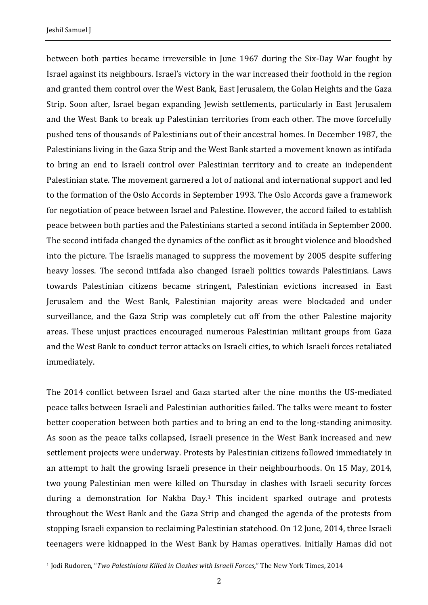between both parties became irreversible in June 1967 during the Six-Day War fought by Israel against its neighbours. Israel's victory in the war increased their foothold in the region and granted them control over the West Bank, East Jerusalem, the Golan Heights and the Gaza Strip. Soon after, Israel began expanding Jewish settlements, particularly in East Jerusalem and the West Bank to break up Palestinian territories from each other. The move forcefully pushed tens of thousands of Palestinians out of their ancestral homes. In December 1987, the Palestinians living in the Gaza Strip and the West Bank started a movement known as intifada to bring an end to Israeli control over Palestinian territory and to create an independent Palestinian state. The movement garnered a lot of national and international support and led to the formation of the Oslo Accords in September 1993. The Oslo Accords gave a framework for negotiation of peace between Israel and Palestine. However, the accord failed to establish peace between both parties and the Palestinians started a second intifada in September 2000. The second intifada changed the dynamics of the conflict as it brought violence and bloodshed into the picture. The Israelis managed to suppress the movement by 2005 despite suffering heavy losses. The second intifada also changed Israeli politics towards Palestinians. Laws towards Palestinian citizens became stringent, Palestinian evictions increased in East Jerusalem and the West Bank, Palestinian majority areas were blockaded and under surveillance, and the Gaza Strip was completely cut off from the other Palestine majority areas. These unjust practices encouraged numerous Palestinian militant groups from Gaza and the West Bank to conduct terror attacks on Israeli cities, to which Israeli forces retaliated immediately.

The 2014 conflict between Israel and Gaza started after the nine months the US-mediated peace talks between Israeli and Palestinian authorities failed. The talks were meant to foster better cooperation between both parties and to bring an end to the long-standing animosity. As soon as the peace talks collapsed, Israeli presence in the West Bank increased and new settlement projects were underway. Protests by Palestinian citizens followed immediately in an attempt to halt the growing Israeli presence in their neighbourhoods. On 15 May, 2014, two young Palestinian men were killed on Thursday in clashes with Israeli security forces during a demonstration for Nakba Day.<sup>1</sup> This incident sparked outrage and protests throughout the West Bank and the Gaza Strip and changed the agenda of the protests from stopping Israeli expansion to reclaiming Palestinian statehood. On 12 June, 2014, three Israeli teenagers were kidnapped in the West Bank by Hamas operatives. Initially Hamas did not

<sup>1</sup> Jodi Rudoren, "*Two Palestinians Killed in Clashes with Israeli Forces,*" The New York Times, 2014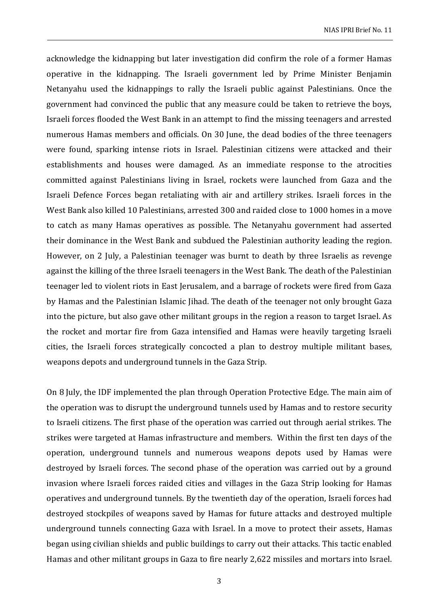acknowledge the kidnapping but later investigation did confirm the role of a former Hamas operative in the kidnapping. The Israeli government led by Prime Minister Benjamin Netanyahu used the kidnappings to rally the Israeli public against Palestinians. Once the government had convinced the public that any measure could be taken to retrieve the boys, Israeli forces flooded the West Bank in an attempt to find the missing teenagers and arrested numerous Hamas members and officials. On 30 June, the dead bodies of the three teenagers were found, sparking intense riots in Israel. Palestinian citizens were attacked and their establishments and houses were damaged. As an immediate response to the atrocities committed against Palestinians living in Israel, rockets were launched from Gaza and the Israeli Defence Forces began retaliating with air and artillery strikes. Israeli forces in the West Bank also killed 10 Palestinians, arrested 300 and raided close to 1000 homes in a move to catch as many Hamas operatives as possible. The Netanyahu government had asserted their dominance in the West Bank and subdued the Palestinian authority leading the region. However, on 2 July, a Palestinian teenager was burnt to death by three Israelis as revenge against the killing of the three Israeli teenagers in the West Bank. The death of the Palestinian teenager led to violent riots in East Jerusalem, and a barrage of rockets were fired from Gaza by Hamas and the Palestinian Islamic Jihad. The death of the teenager not only brought Gaza into the picture, but also gave other militant groups in the region a reason to target Israel. As the rocket and mortar fire from Gaza intensified and Hamas were heavily targeting Israeli cities, the Israeli forces strategically concocted a plan to destroy multiple militant bases, weapons depots and underground tunnels in the Gaza Strip.

On 8 July, the IDF implemented the plan through Operation Protective Edge. The main aim of the operation was to disrupt the underground tunnels used by Hamas and to restore security to Israeli citizens. The first phase of the operation was carried out through aerial strikes. The strikes were targeted at Hamas infrastructure and members. Within the first ten days of the operation, underground tunnels and numerous weapons depots used by Hamas were destroyed by Israeli forces. The second phase of the operation was carried out by a ground invasion where Israeli forces raided cities and villages in the Gaza Strip looking for Hamas operatives and underground tunnels. By the twentieth day of the operation, Israeli forces had destroyed stockpiles of weapons saved by Hamas for future attacks and destroyed multiple underground tunnels connecting Gaza with Israel. In a move to protect their assets, Hamas began using civilian shields and public buildings to carry out their attacks. This tactic enabled Hamas and other militant groups in Gaza to fire nearly 2,622 missiles and mortars into Israel.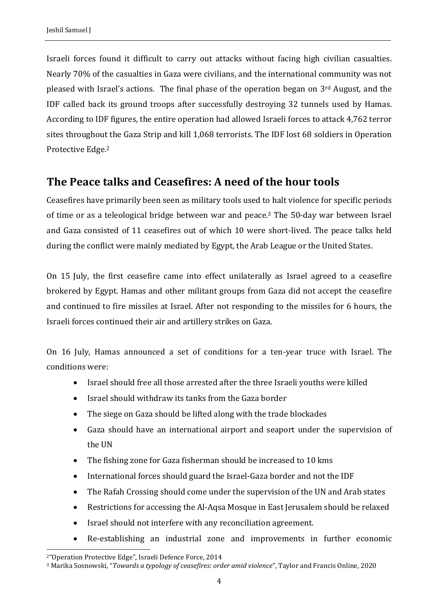Israeli forces found it difficult to carry out attacks without facing high civilian casualties. Nearly 70% of the casualties in Gaza were civilians, and the international community was not pleased with Israel's actions. The final phase of the operation began on 3rd August, and the IDF called back its ground troops after successfully destroying 32 tunnels used by Hamas. According to IDF figures, the entire operation had allowed Israeli forces to attack 4,762 terror sites throughout the Gaza Strip and kill 1,068 terrorists. The IDF lost 68 soldiers in Operation Protective Edge.<sup>2</sup>

## **The Peace talks and Ceasefires: A need of the hour tools**

Ceasefires have primarily been seen as military tools used to halt violence for specific periods of time or as a teleological bridge between war and peace.<sup>3</sup> The 50-day war between Israel and Gaza consisted of 11 ceasefires out of which 10 were short-lived. The peace talks held during the conflict were mainly mediated by Egypt, the Arab League or the United States.

On 15 July, the first ceasefire came into effect unilaterally as Israel agreed to a ceasefire brokered by Egypt. Hamas and other militant groups from Gaza did not accept the ceasefire and continued to fire missiles at Israel. After not responding to the missiles for 6 hours, the Israeli forces continued their air and artillery strikes on Gaza.

On 16 July, Hamas announced a set of conditions for a ten-year truce with Israel. The conditions were:

- Israel should free all those arrested after the three Israeli youths were killed
- Israel should withdraw its tanks from the Gaza border
- The siege on Gaza should be lifted along with the trade blockades
- Gaza should have an international airport and seaport under the supervision of the UN
- The fishing zone for Gaza fisherman should be increased to 10 kms
- International forces should guard the Israel-Gaza border and not the IDF
- The Rafah Crossing should come under the supervision of the UN and Arab states
- Restrictions for accessing the Al-Aqsa Mosque in East Jerusalem should be relaxed
- Israel should not interfere with any reconciliation agreement.
- Re-establishing an industrial zone and improvements in further economic

<sup>2</sup>"Operation Protective Edge", Israeli Defence Force, 2014

<sup>3</sup> Marika Sosnowski, "*Towards a typology of ceasefires: order amid violence*", Taylor and Francis Online, 2020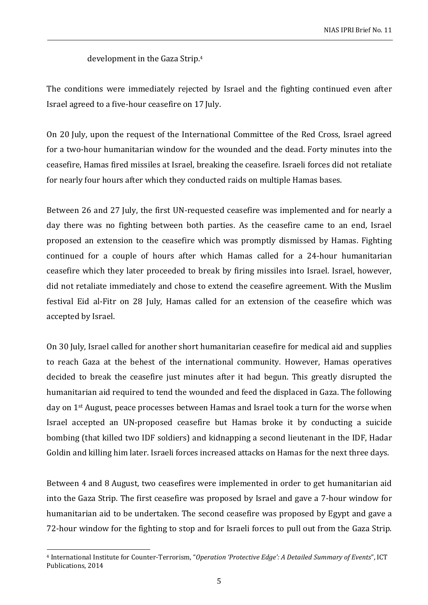development in the Gaza Strip.<sup>4</sup>

The conditions were immediately rejected by Israel and the fighting continued even after Israel agreed to a five-hour ceasefire on 17 July.

On 20 July, upon the request of the International Committee of the Red Cross, Israel agreed for a two-hour humanitarian window for the wounded and the dead. Forty minutes into the ceasefire, Hamas fired missiles at Israel, breaking the ceasefire. Israeli forces did not retaliate for nearly four hours after which they conducted raids on multiple Hamas bases.

Between 26 and 27 July, the first UN-requested ceasefire was implemented and for nearly a day there was no fighting between both parties. As the ceasefire came to an end, Israel proposed an extension to the ceasefire which was promptly dismissed by Hamas. Fighting continued for a couple of hours after which Hamas called for a 24-hour humanitarian ceasefire which they later proceeded to break by firing missiles into Israel. Israel, however, did not retaliate immediately and chose to extend the ceasefire agreement. With the Muslim festival Eid al-Fitr on 28 July, Hamas called for an extension of the ceasefire which was accepted by Israel.

On 30 July, Israel called for another short humanitarian ceasefire for medical aid and supplies to reach Gaza at the behest of the international community. However, Hamas operatives decided to break the ceasefire just minutes after it had begun. This greatly disrupted the humanitarian aid required to tend the wounded and feed the displaced in Gaza. The following day on 1<sup>st</sup> August, peace processes between Hamas and Israel took a turn for the worse when Israel accepted an UN-proposed ceasefire but Hamas broke it by conducting a suicide bombing (that killed two IDF soldiers) and kidnapping a second lieutenant in the IDF, Hadar Goldin and killing him later. Israeli forces increased attacks on Hamas for the next three days.

Between 4 and 8 August, two ceasefires were implemented in order to get humanitarian aid into the Gaza Strip. The first ceasefire was proposed by Israel and gave a 7-hour window for humanitarian aid to be undertaken. The second ceasefire was proposed by Egypt and gave a 72-hour window for the fighting to stop and for Israeli forces to pull out from the Gaza Strip.

<sup>4</sup> International Institute for Counter-Terrorism, "*Operation 'Protective Edge': A Detailed Summary of Events*", ICT Publications, 2014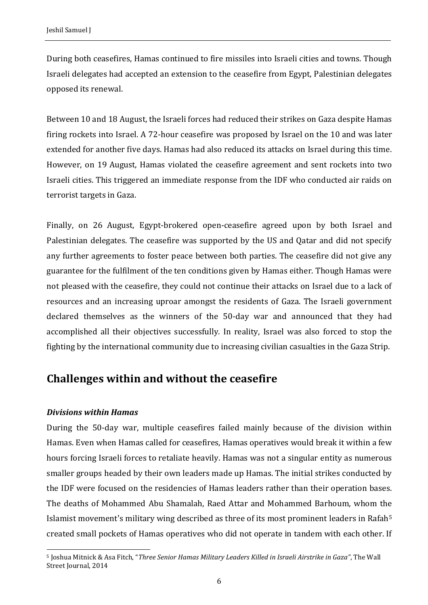During both ceasefires, Hamas continued to fire missiles into Israeli cities and towns. Though Israeli delegates had accepted an extension to the ceasefire from Egypt, Palestinian delegates opposed its renewal.

Between 10 and 18 August, the Israeli forces had reduced their strikes on Gaza despite Hamas firing rockets into Israel. A 72-hour ceasefire was proposed by Israel on the 10 and was later extended for another five days. Hamas had also reduced its attacks on Israel during this time. However, on 19 August, Hamas violated the ceasefire agreement and sent rockets into two Israeli cities. This triggered an immediate response from the IDF who conducted air raids on terrorist targets in Gaza.

Finally, on 26 August, Egypt-brokered open-ceasefire agreed upon by both Israel and Palestinian delegates. The ceasefire was supported by the US and Qatar and did not specify any further agreements to foster peace between both parties. The ceasefire did not give any guarantee for the fulfilment of the ten conditions given by Hamas either. Though Hamas were not pleased with the ceasefire, they could not continue their attacks on Israel due to a lack of resources and an increasing uproar amongst the residents of Gaza. The Israeli government declared themselves as the winners of the 50-day war and announced that they had accomplished all their objectives successfully. In reality, Israel was also forced to stop the fighting by the international community due to increasing civilian casualties in the Gaza Strip.

## **Challenges within and without the ceasefire**

#### *Divisions within Hamas*

During the 50-day war, multiple ceasefires failed mainly because of the division within Hamas. Even when Hamas called for ceasefires, Hamas operatives would break it within a few hours forcing Israeli forces to retaliate heavily. Hamas was not a singular entity as numerous smaller groups headed by their own leaders made up Hamas. The initial strikes conducted by the IDF were focused on the residencies of Hamas leaders rather than their operation bases. The deaths of Mohammed Abu Shamalah, Raed Attar and Mohammed Barhoum, whom the Islamist movement's military wing described as three of its most prominent leaders in Rafah<sup>5</sup> created small pockets of Hamas operatives who did not operate in tandem with each other. If

<sup>5</sup> Joshua Mitnick & Asa Fitch, "*Three Senior Hamas Military Leaders Killed in Israeli Airstrike in Gaza"*, The Wall Street Journal, 2014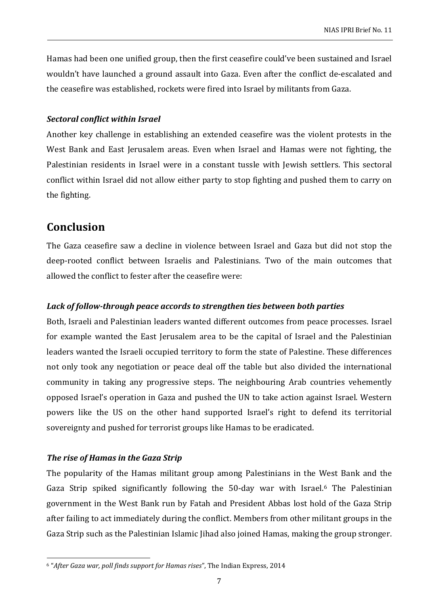Hamas had been one unified group, then the first ceasefire could've been sustained and Israel wouldn't have launched a ground assault into Gaza. Even after the conflict de-escalated and the ceasefire was established, rockets were fired into Israel by militants from Gaza.

#### *Sectoral conflict within Israel*

Another key challenge in establishing an extended ceasefire was the violent protests in the West Bank and East Jerusalem areas. Even when Israel and Hamas were not fighting, the Palestinian residents in Israel were in a constant tussle with Jewish settlers. This sectoral conflict within Israel did not allow either party to stop fighting and pushed them to carry on the fighting.

## **Conclusion**

The Gaza ceasefire saw a decline in violence between Israel and Gaza but did not stop the deep-rooted conflict between Israelis and Palestinians. Two of the main outcomes that allowed the conflict to fester after the ceasefire were:

#### *Lack of follow-through peace accords to strengthen ties between both parties*

Both, Israeli and Palestinian leaders wanted different outcomes from peace processes. Israel for example wanted the East Jerusalem area to be the capital of Israel and the Palestinian leaders wanted the Israeli occupied territory to form the state of Palestine. These differences not only took any negotiation or peace deal off the table but also divided the international community in taking any progressive steps. The neighbouring Arab countries vehemently opposed Israel's operation in Gaza and pushed the UN to take action against Israel. Western powers like the US on the other hand supported Israel's right to defend its territorial sovereignty and pushed for terrorist groups like Hamas to be eradicated.

#### *The rise of Hamas in the Gaza Strip*

The popularity of the Hamas militant group among Palestinians in the West Bank and the Gaza Strip spiked significantly following the 50-day war with Israel.<sup>6</sup> The Palestinian government in the West Bank run by Fatah and President Abbas lost hold of the Gaza Strip after failing to act immediately during the conflict. Members from other militant groups in the Gaza Strip such as the Palestinian Islamic Jihad also joined Hamas, making the group stronger.

<sup>6</sup> "*After Gaza war, poll finds support for Hamas rises*", The Indian Express, 2014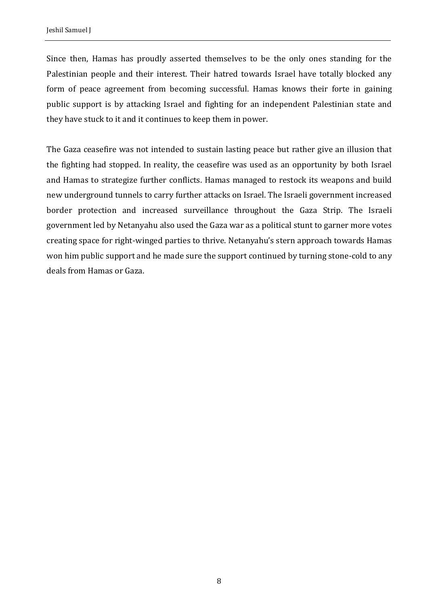Since then, Hamas has proudly asserted themselves to be the only ones standing for the Palestinian people and their interest. Their hatred towards Israel have totally blocked any form of peace agreement from becoming successful. Hamas knows their forte in gaining public support is by attacking Israel and fighting for an independent Palestinian state and they have stuck to it and it continues to keep them in power.

The Gaza ceasefire was not intended to sustain lasting peace but rather give an illusion that the fighting had stopped. In reality, the ceasefire was used as an opportunity by both Israel and Hamas to strategize further conflicts. Hamas managed to restock its weapons and build new underground tunnels to carry further attacks on Israel. The Israeli government increased border protection and increased surveillance throughout the Gaza Strip. The Israeli government led by Netanyahu also used the Gaza war as a political stunt to garner more votes creating space for right-winged parties to thrive. Netanyahu's stern approach towards Hamas won him public support and he made sure the support continued by turning stone-cold to any deals from Hamas or Gaza.